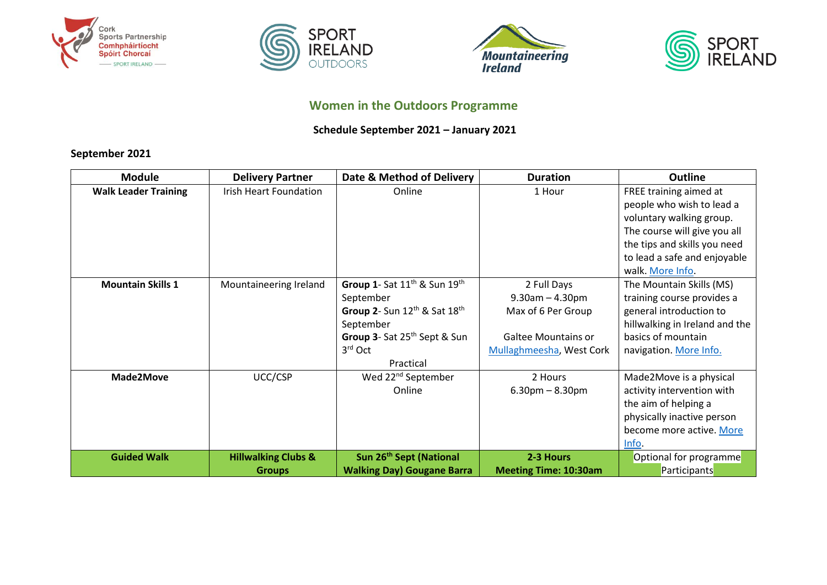







# **Women in the Outdoors Programme**

### **Schedule September 2021 – January 2021**

## **September 2021**

| <b>Module</b>               | <b>Delivery Partner</b>                         | Date & Method of Delivery                                                                                                                                                                      | <b>Duration</b>                                                                                                      | <b>Outline</b>                                                                                                                                                                                      |
|-----------------------------|-------------------------------------------------|------------------------------------------------------------------------------------------------------------------------------------------------------------------------------------------------|----------------------------------------------------------------------------------------------------------------------|-----------------------------------------------------------------------------------------------------------------------------------------------------------------------------------------------------|
| <b>Walk Leader Training</b> | <b>Irish Heart Foundation</b>                   | Online                                                                                                                                                                                         | 1 Hour                                                                                                               | FREE training aimed at<br>people who wish to lead a<br>voluntary walking group.<br>The course will give you all<br>the tips and skills you need<br>to lead a safe and enjoyable<br>walk. More Info. |
| <b>Mountain Skills 1</b>    | Mountaineering Ireland                          | Group 1- Sat 11 <sup>th</sup> & Sun 19 <sup>th</sup><br>September<br>Group 2- Sun $12^{th}$ & Sat $18^{th}$<br>September<br>Group 3- Sat 25 <sup>th</sup> Sept & Sun<br>$3rd$ Oct<br>Practical | 2 Full Days<br>$9.30$ am $- 4.30$ pm<br>Max of 6 Per Group<br><b>Galtee Mountains or</b><br>Mullaghmeesha, West Cork | The Mountain Skills (MS)<br>training course provides a<br>general introduction to<br>hillwalking in Ireland and the<br>basics of mountain<br>navigation. More Info.                                 |
| Made2Move                   | UCC/CSP                                         | Wed 22 <sup>nd</sup> September<br>Online                                                                                                                                                       | 2 Hours<br>$6.30$ pm $- 8.30$ pm                                                                                     | Made2Move is a physical<br>activity intervention with<br>the aim of helping a<br>physically inactive person<br>become more active. More<br>Info.                                                    |
| <b>Guided Walk</b>          | <b>Hillwalking Clubs &amp;</b><br><b>Groups</b> | Sun 26 <sup>th</sup> Sept (National<br><b>Walking Day) Gougane Barra</b>                                                                                                                       | 2-3 Hours<br><b>Meeting Time: 10:30am</b>                                                                            | Optional for programme<br>Participants                                                                                                                                                              |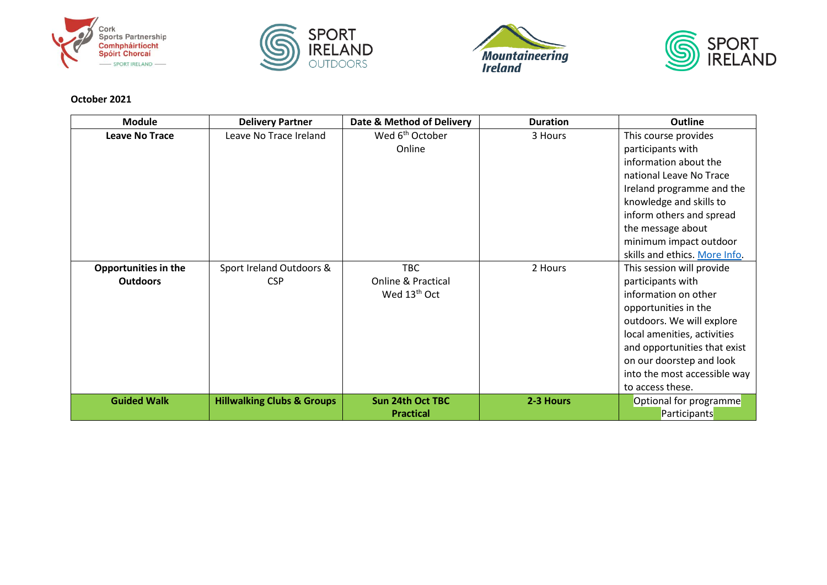







#### **October 2021**

| <b>Module</b>               | <b>Delivery Partner</b>               | Date & Method of Delivery     | <b>Duration</b> | <b>Outline</b>                |
|-----------------------------|---------------------------------------|-------------------------------|-----------------|-------------------------------|
| <b>Leave No Trace</b>       | Leave No Trace Ireland                | Wed 6 <sup>th</sup> October   | 3 Hours         | This course provides          |
|                             |                                       | Online                        |                 | participants with             |
|                             |                                       |                               |                 | information about the         |
|                             |                                       |                               |                 | national Leave No Trace       |
|                             |                                       |                               |                 | Ireland programme and the     |
|                             |                                       |                               |                 | knowledge and skills to       |
|                             |                                       |                               |                 | inform others and spread      |
|                             |                                       |                               |                 | the message about             |
|                             |                                       |                               |                 | minimum impact outdoor        |
|                             |                                       |                               |                 | skills and ethics. More Info. |
| <b>Opportunities in the</b> | Sport Ireland Outdoors &              | <b>TBC</b>                    | 2 Hours         | This session will provide     |
| <b>Outdoors</b>             | <b>CSP</b>                            | <b>Online &amp; Practical</b> |                 | participants with             |
|                             |                                       | Wed 13 <sup>th</sup> Oct      |                 | information on other          |
|                             |                                       |                               |                 | opportunities in the          |
|                             |                                       |                               |                 | outdoors. We will explore     |
|                             |                                       |                               |                 | local amenities, activities   |
|                             |                                       |                               |                 | and opportunities that exist  |
|                             |                                       |                               |                 | on our doorstep and look      |
|                             |                                       |                               |                 | into the most accessible way  |
|                             |                                       |                               |                 | to access these.              |
| <b>Guided Walk</b>          | <b>Hillwalking Clubs &amp; Groups</b> | <b>Sun 24th Oct TBC</b>       | 2-3 Hours       | Optional for programme        |
|                             |                                       | <b>Practical</b>              |                 | Participants                  |